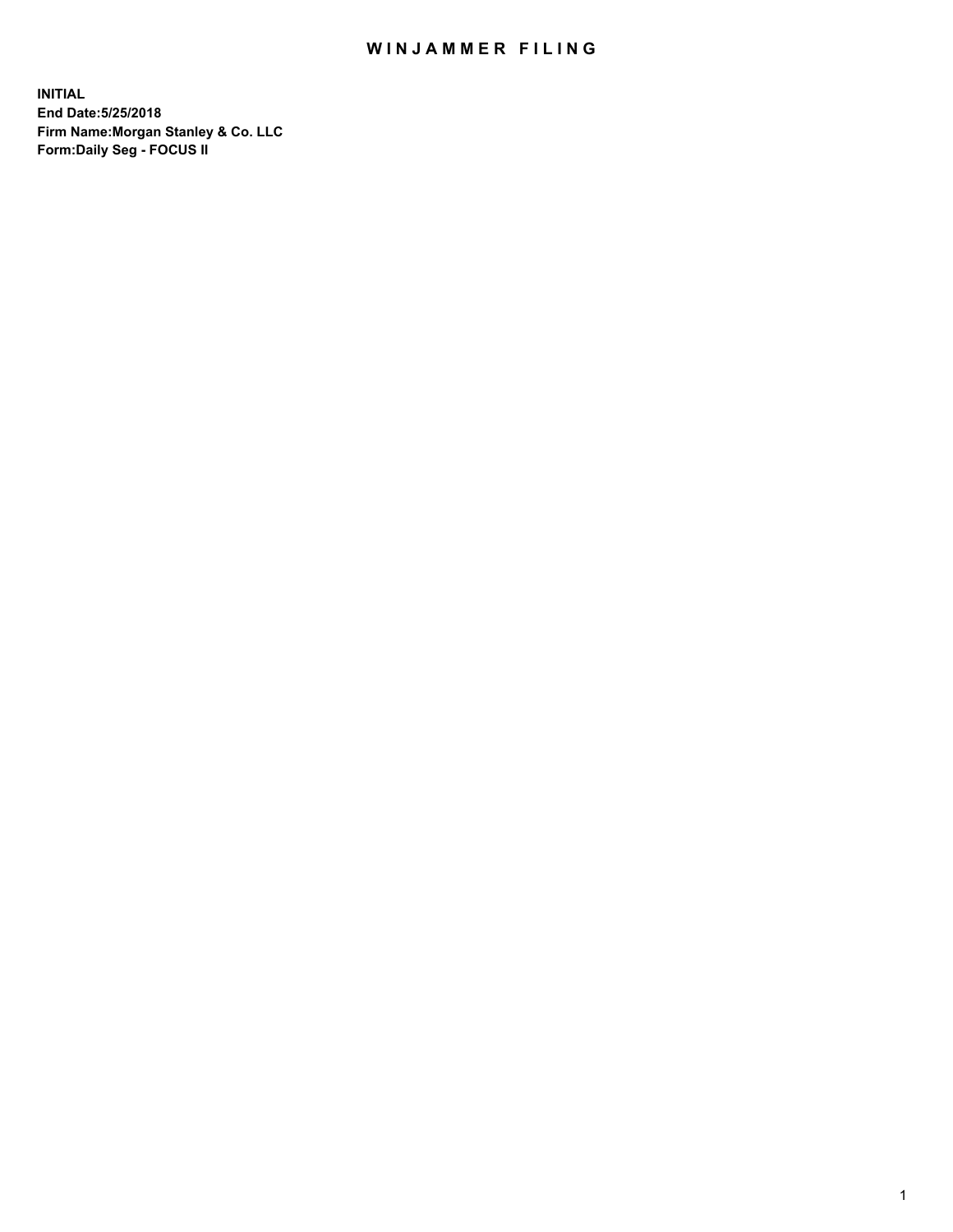## WIN JAMMER FILING

**INITIAL End Date:5/25/2018 Firm Name:Morgan Stanley & Co. LLC Form:Daily Seg - FOCUS II**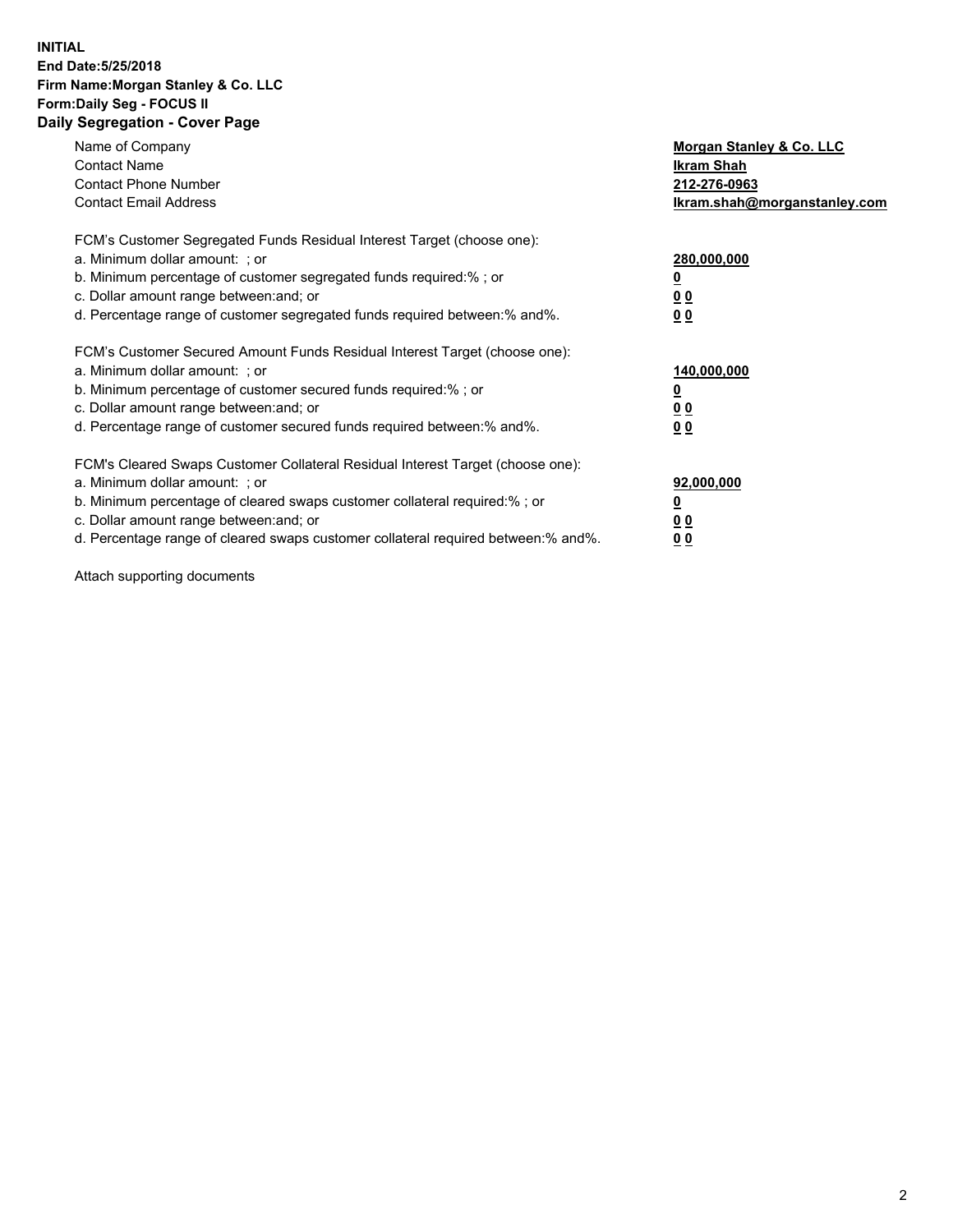#### **INITIAL End Date:5/25/2018 Firm Name:Morgan Stanley & Co. LLC Form:Daily Seg - FOCUS II Daily Segregation - Cover Page**

| Name of Company<br>Morgan Stanley & Co. LLC                                                   |  |
|-----------------------------------------------------------------------------------------------|--|
| <b>Contact Name</b><br>Ikram Shah                                                             |  |
| <b>Contact Phone Number</b><br>212-276-0963                                                   |  |
| <b>Contact Email Address</b><br>lkram.shah@morganstanley.com                                  |  |
| FCM's Customer Segregated Funds Residual Interest Target (choose one):                        |  |
| a. Minimum dollar amount: ; or<br>280,000,000                                                 |  |
| b. Minimum percentage of customer segregated funds required:%; or                             |  |
| c. Dollar amount range between: and; or<br>00                                                 |  |
| d. Percentage range of customer segregated funds required between: % and %.<br>0 <sub>0</sub> |  |
| FCM's Customer Secured Amount Funds Residual Interest Target (choose one):                    |  |
| a. Minimum dollar amount: ; or<br>140,000,000                                                 |  |
| b. Minimum percentage of customer secured funds required:%; or                                |  |
| c. Dollar amount range between: and; or<br>00                                                 |  |
| d. Percentage range of customer secured funds required between: % and %.<br>0 <sub>0</sub>    |  |
| FCM's Cleared Swaps Customer Collateral Residual Interest Target (choose one):                |  |
| a. Minimum dollar amount: ; or<br>92,000,000                                                  |  |
| b. Minimum percentage of cleared swaps customer collateral required:% ; or<br><u>0</u>        |  |
| c. Dollar amount range between: and; or<br><u>00</u>                                          |  |
| d. Percentage range of cleared swaps customer collateral required between:% and%.<br>00       |  |

Attach supporting documents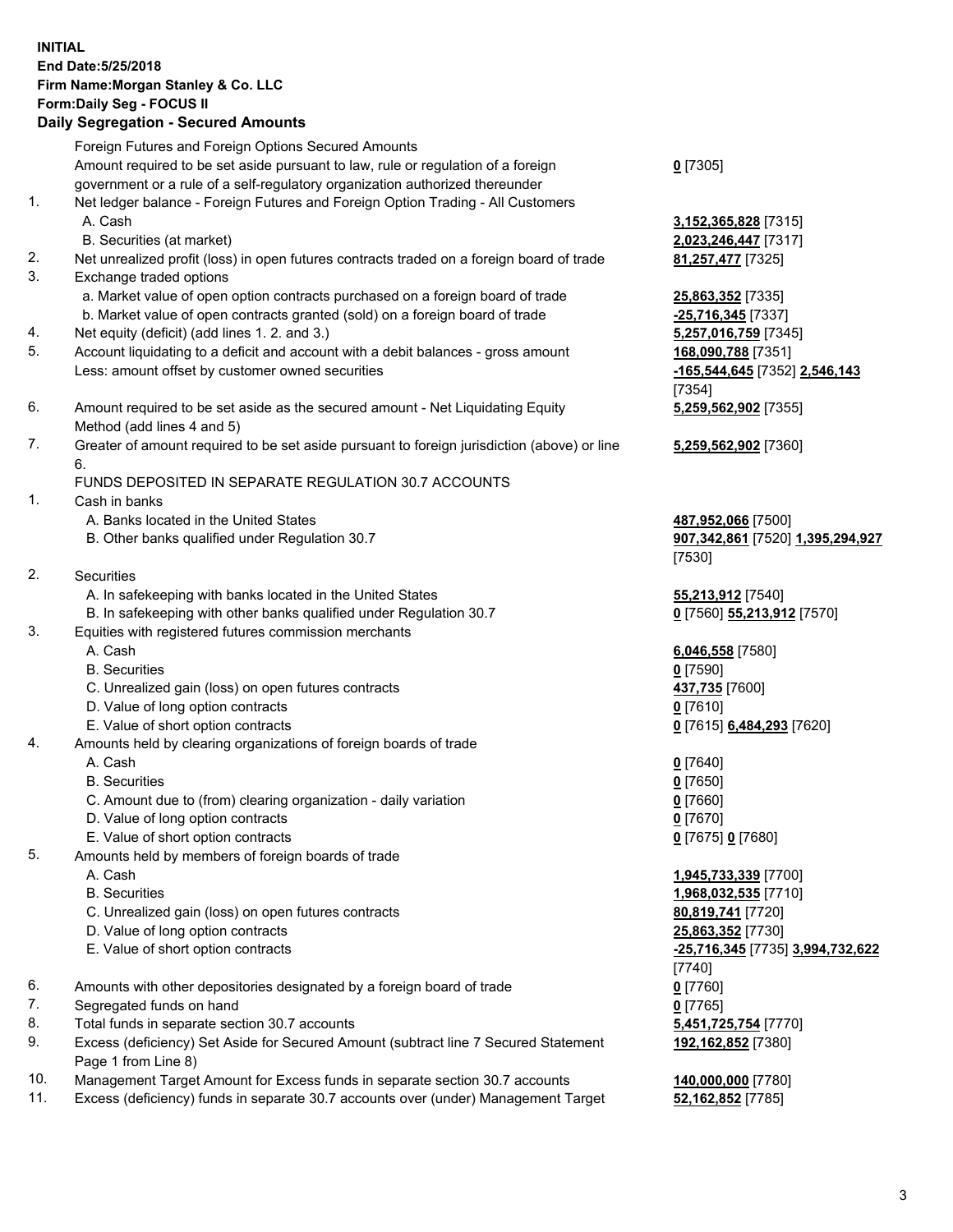## **INITIAL End Date:5/25/2018 Firm Name:Morgan Stanley & Co. LLC Form:Daily Seg - FOCUS II**

# **Daily Segregation - Secured Amounts**

|                | Foreign Futures and Foreign Options Secured Amounts                                                                                   |                                                     |
|----------------|---------------------------------------------------------------------------------------------------------------------------------------|-----------------------------------------------------|
|                | Amount required to be set aside pursuant to law, rule or regulation of a foreign                                                      | $0$ [7305]                                          |
|                | government or a rule of a self-regulatory organization authorized thereunder                                                          |                                                     |
| 1.             | Net ledger balance - Foreign Futures and Foreign Option Trading - All Customers                                                       |                                                     |
|                | A. Cash                                                                                                                               | 3,152,365,828 [7315]                                |
|                | B. Securities (at market)                                                                                                             | 2,023,246,447 [7317]                                |
| 2.<br>3.       | Net unrealized profit (loss) in open futures contracts traded on a foreign board of trade                                             | 81,257,477 [7325]                                   |
|                | Exchange traded options                                                                                                               |                                                     |
|                | a. Market value of open option contracts purchased on a foreign board of trade                                                        | 25,863,352 [7335]                                   |
|                | b. Market value of open contracts granted (sold) on a foreign board of trade                                                          | -25,716,345 [7337]                                  |
| 4.<br>5.       | Net equity (deficit) (add lines 1.2. and 3.)                                                                                          | 5,257,016,759 [7345]                                |
|                | Account liquidating to a deficit and account with a debit balances - gross amount<br>Less: amount offset by customer owned securities | 168,090,788 [7351]<br>-165,544,645 [7352] 2,546,143 |
|                |                                                                                                                                       | [7354]                                              |
| 6.             |                                                                                                                                       |                                                     |
|                | Amount required to be set aside as the secured amount - Net Liquidating Equity<br>Method (add lines 4 and 5)                          | 5,259,562,902 [7355]                                |
| 7.             | Greater of amount required to be set aside pursuant to foreign jurisdiction (above) or line                                           | 5,259,562,902 [7360]                                |
|                | 6.                                                                                                                                    |                                                     |
|                | FUNDS DEPOSITED IN SEPARATE REGULATION 30.7 ACCOUNTS                                                                                  |                                                     |
| $\mathbf{1}$ . | Cash in banks                                                                                                                         |                                                     |
|                | A. Banks located in the United States                                                                                                 | 487,952,066 [7500]                                  |
|                | B. Other banks qualified under Regulation 30.7                                                                                        | 907,342,861 [7520] 1,395,294,927                    |
|                |                                                                                                                                       | [7530]                                              |
| 2.             | Securities                                                                                                                            |                                                     |
|                | A. In safekeeping with banks located in the United States                                                                             | 55,213,912 [7540]                                   |
|                | B. In safekeeping with other banks qualified under Regulation 30.7                                                                    | 0 [7560] 55,213,912 [7570]                          |
| 3.             | Equities with registered futures commission merchants                                                                                 |                                                     |
|                | A. Cash                                                                                                                               | 6,046,558 [7580]                                    |
|                | <b>B.</b> Securities                                                                                                                  | $0$ [7590]                                          |
|                | C. Unrealized gain (loss) on open futures contracts                                                                                   | 437,735 [7600]                                      |
|                | D. Value of long option contracts                                                                                                     | $0$ [7610]                                          |
|                | E. Value of short option contracts                                                                                                    | 0 [7615] 6,484,293 [7620]                           |
| 4.             | Amounts held by clearing organizations of foreign boards of trade                                                                     |                                                     |
|                | A. Cash                                                                                                                               | $0$ [7640]                                          |
|                | <b>B.</b> Securities                                                                                                                  | $0$ [7650]                                          |
|                | C. Amount due to (from) clearing organization - daily variation                                                                       | $0$ [7660]                                          |
|                | D. Value of long option contracts                                                                                                     | $0$ [7670]                                          |
|                | E. Value of short option contracts                                                                                                    | 0 [7675] 0 [7680]                                   |
| 5.             | Amounts held by members of foreign boards of trade                                                                                    |                                                     |
|                | A. Cash                                                                                                                               | 1,945,733,339 [7700]                                |
|                | <b>B.</b> Securities                                                                                                                  | 1,968,032,535 [7710]                                |
|                | C. Unrealized gain (loss) on open futures contracts                                                                                   | 80,819,741 [7720]                                   |
|                | D. Value of long option contracts                                                                                                     | 25,863,352 [7730]                                   |
|                | E. Value of short option contracts                                                                                                    | -25,716,345 [7735] 3,994,732,622                    |
|                |                                                                                                                                       | [7740]                                              |
| 6.             | Amounts with other depositories designated by a foreign board of trade                                                                | $0$ [7760]                                          |
| 7.<br>8.       | Segregated funds on hand                                                                                                              | $0$ [7765]                                          |
| 9.             | Total funds in separate section 30.7 accounts                                                                                         | 5,451,725,754 [7770]                                |
|                | Excess (deficiency) Set Aside for Secured Amount (subtract line 7 Secured Statement<br>Page 1 from Line 8)                            | 192,162,852 [7380]                                  |
| 10.            | Management Target Amount for Excess funds in separate section 30.7 accounts                                                           | 140,000,000 [7780]                                  |
| 11.            | Excess (deficiency) funds in separate 30.7 accounts over (under) Management Target                                                    | 52,162,852 [7785]                                   |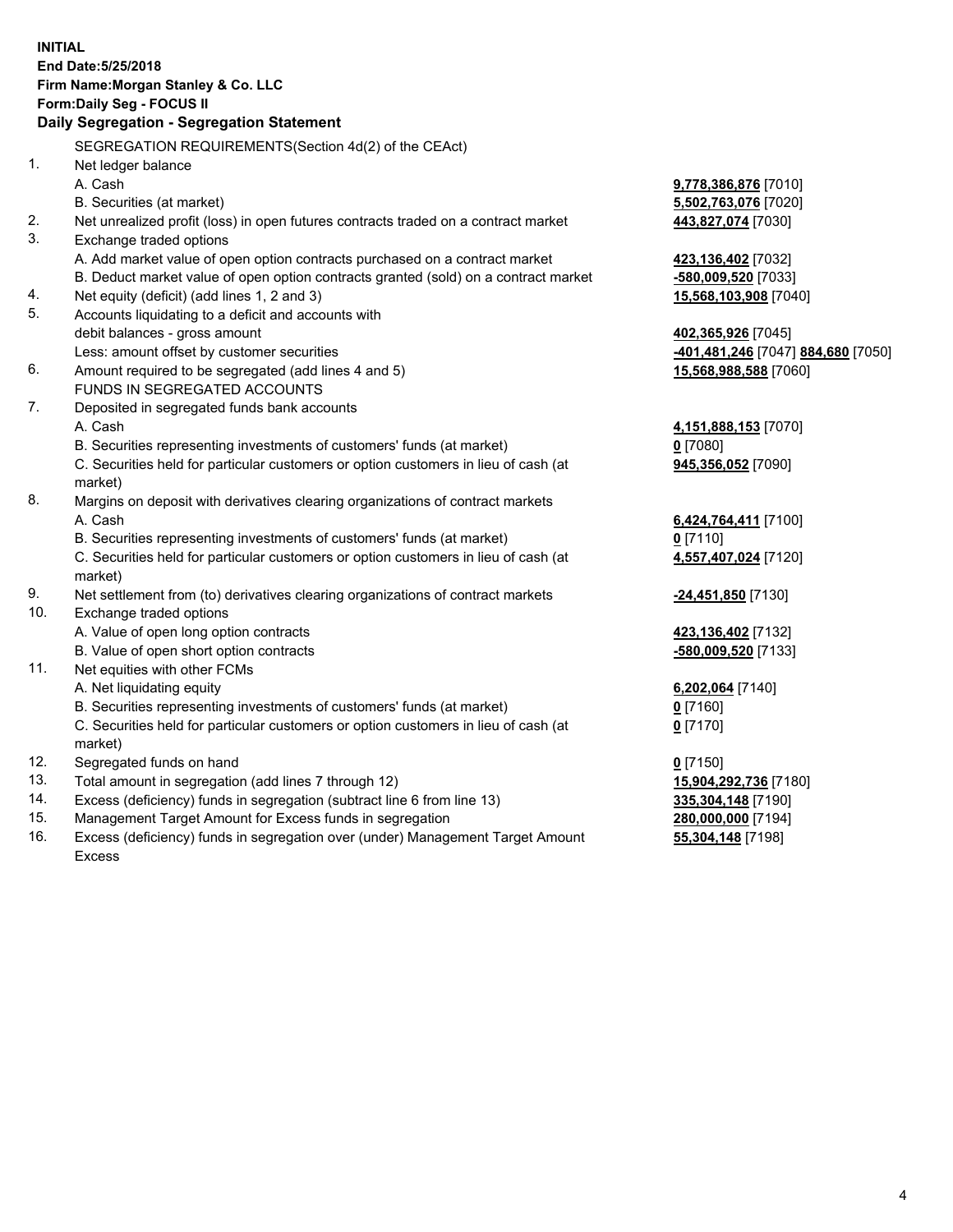## **INITIAL End Date:5/25/2018 Firm Name:Morgan Stanley & Co. LLC Form:Daily Seg - FOCUS II**

# **Daily Segregation - Segregation Statement**

SEGREGATION REQUIREMENTS(Section 4d(2) of the CEAct) 1. Net ledger balance A. Cash **9,778,386,876** [7010] B. Securities (at market) **5,502,763,076** [7020] 2. Net unrealized profit (loss) in open futures contracts traded on a contract market **443,827,074** [7030] 3. Exchange traded options A. Add market value of open option contracts purchased on a contract market **423,136,402** [7032] B. Deduct market value of open option contracts granted (sold) on a contract market **-580,009,520** [7033] 4. Net equity (deficit) (add lines 1, 2 and 3) **15,568,103,908** [7040] 5. Accounts liquidating to a deficit and accounts with debit balances - gross amount **402,365,926** [7045] Less: amount offset by customer securities **-401,481,246** [7047] **884,680** [7050] 6. Amount required to be segregated (add lines 4 and 5) **15,568,988,588** [7060] FUNDS IN SEGREGATED ACCOUNTS 7. Deposited in segregated funds bank accounts A. Cash **4,151,888,153** [7070] B. Securities representing investments of customers' funds (at market) **0** [7080] C. Securities held for particular customers or option customers in lieu of cash (at market) **945,356,052** [7090] 8. Margins on deposit with derivatives clearing organizations of contract markets A. Cash **6,424,764,411** [7100] B. Securities representing investments of customers' funds (at market) **0** [7110] C. Securities held for particular customers or option customers in lieu of cash (at market) **4,557,407,024** [7120] 9. Net settlement from (to) derivatives clearing organizations of contract markets **-24,451,850** [7130] 10. Exchange traded options A. Value of open long option contracts **423,136,402** [7132] B. Value of open short option contracts **-580,009,520** [7133] 11. Net equities with other FCMs A. Net liquidating equity **6,202,064** [7140] B. Securities representing investments of customers' funds (at market) **0** [7160] C. Securities held for particular customers or option customers in lieu of cash (at market) **0** [7170] 12. Segregated funds on hand **0** [7150] 13. Total amount in segregation (add lines 7 through 12) **15,904,292,736** [7180] 14. Excess (deficiency) funds in segregation (subtract line 6 from line 13) **335,304,148** [7190] 15. Management Target Amount for Excess funds in segregation **280,000,000** [7194]

16. Excess (deficiency) funds in segregation over (under) Management Target Amount Excess

**55,304,148** [7198]